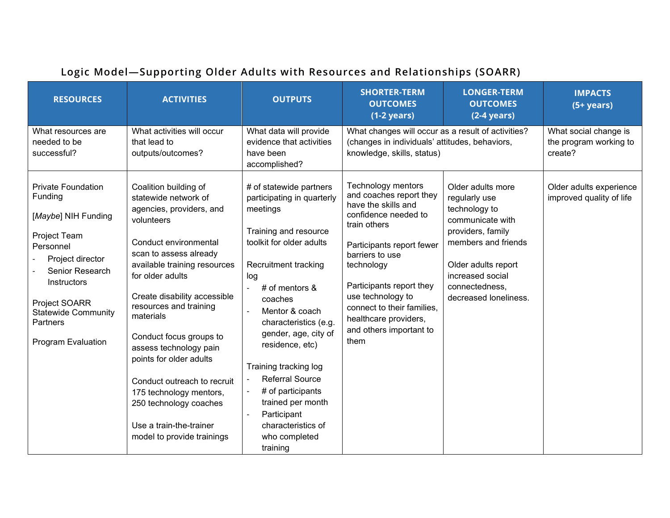| <b>RESOURCES</b>                                                                                                                                                                                                                       | <b>ACTIVITIES</b>                                                                                                                                                                                                                                                                                                                                                                                                                                                                                  | <b>OUTPUTS</b>                                                                                                                                                                                                                                                                                                                                                                                                                            | <b>SHORTER-TERM</b><br><b>OUTCOMES</b><br>$(1-2 \text{ years})$                                                                                                                                                                                                                                                       | <b>LONGER-TERM</b><br><b>OUTCOMES</b><br>$(2-4 years)$                                                                                                                                                    | <b>IMPACTS</b><br>$(5+ years)$                             |
|----------------------------------------------------------------------------------------------------------------------------------------------------------------------------------------------------------------------------------------|----------------------------------------------------------------------------------------------------------------------------------------------------------------------------------------------------------------------------------------------------------------------------------------------------------------------------------------------------------------------------------------------------------------------------------------------------------------------------------------------------|-------------------------------------------------------------------------------------------------------------------------------------------------------------------------------------------------------------------------------------------------------------------------------------------------------------------------------------------------------------------------------------------------------------------------------------------|-----------------------------------------------------------------------------------------------------------------------------------------------------------------------------------------------------------------------------------------------------------------------------------------------------------------------|-----------------------------------------------------------------------------------------------------------------------------------------------------------------------------------------------------------|------------------------------------------------------------|
| What resources are<br>needed to be<br>successful?                                                                                                                                                                                      | What activities will occur<br>that lead to<br>outputs/outcomes?                                                                                                                                                                                                                                                                                                                                                                                                                                    | What data will provide<br>evidence that activities<br>have been<br>accomplished?                                                                                                                                                                                                                                                                                                                                                          | What changes will occur as a result of activities?<br>(changes in individuals' attitudes, behaviors,<br>knowledge, skills, status)                                                                                                                                                                                    |                                                                                                                                                                                                           | What social change is<br>the program working to<br>create? |
| <b>Private Foundation</b><br>Funding<br>[Maybe] NIH Funding<br>Project Team<br>Personnel<br>Project director<br>Senior Research<br>Instructors<br>Project SOARR<br><b>Statewide Community</b><br>Partners<br><b>Program Evaluation</b> | Coalition building of<br>statewide network of<br>agencies, providers, and<br>volunteers<br>Conduct environmental<br>scan to assess already<br>available training resources<br>for older adults<br>Create disability accessible<br>resources and training<br>materials<br>Conduct focus groups to<br>assess technology pain<br>points for older adults<br>Conduct outreach to recruit<br>175 technology mentors,<br>250 technology coaches<br>Use a train-the-trainer<br>model to provide trainings | # of statewide partners<br>participating in quarterly<br>meetings<br>Training and resource<br>toolkit for older adults<br>Recruitment tracking<br>log<br># of mentors $&$<br>coaches<br>Mentor & coach<br>characteristics (e.g.<br>gender, age, city of<br>residence, etc)<br>Training tracking log<br><b>Referral Source</b><br># of participants<br>trained per month<br>Participant<br>characteristics of<br>who completed<br>training | Technology mentors<br>and coaches report they<br>have the skills and<br>confidence needed to<br>train others<br>Participants report fewer<br>barriers to use<br>technology<br>Participants report they<br>use technology to<br>connect to their families.<br>healthcare providers,<br>and others important to<br>them | Older adults more<br>regularly use<br>technology to<br>communicate with<br>providers, family<br>members and friends<br>Older adults report<br>increased social<br>connectedness,<br>decreased loneliness. | Older adults experience<br>improved quality of life        |

## **Logic Model—Supporting Older Adults with Resources and Relationships (SOARR)**